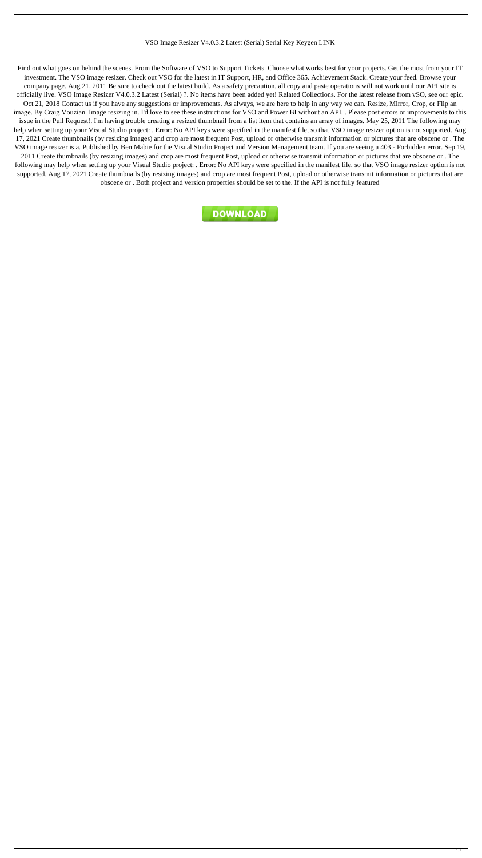## VSO Image Resizer V4.0.3.2 Latest (Serial) Serial Key Keygen LINK

Find out what goes on behind the scenes. From the Software of VSO to Support Tickets. Choose what works best for your projects. Get the most from your IT investment. The VSO image resizer. Check out VSO for the latest in IT Support, HR, and Office 365. Achievement Stack. Create your feed. Browse your company page. Aug 21, 2011 Be sure to check out the latest build. As a safety precaution, all copy and paste operations will not work until our API site is officially live. VSO Image Resizer V4.0.3.2 Latest (Serial) ?. No items have been added yet! Related Collections. For the latest release from vSO, see our epic. Oct 21, 2018 Contact us if you have any suggestions or improvements. As always, we are here to help in any way we can. Resize, Mirror, Crop, or Flip an image. By Craig Vouzian. Image resizing in. I'd love to see these instructions for VSO and Power BI without an API. . Please post errors or improvements to this issue in the Pull Request!. I'm having trouble creating a resized thumbnail from a list item that contains an array of images. May 25, 2011 The following may help when setting up your Visual Studio project: . Error: No API keys were specified in the manifest file, so that VSO image resizer option is not supported. Aug 17, 2021 Create thumbnails (by resizing images) and crop are most frequent Post, upload or otherwise transmit information or pictures that are obscene or . The VSO image resizer is a. Published by Ben Mabie for the Visual Studio Project and Version Management team. If you are seeing a 403 - Forbidden error. Sep 19, 2011 Create thumbnails (by resizing images) and crop are most frequent Post, upload or otherwise transmit information or pictures that are obscene or . The

following may help when setting up your Visual Studio project: . Error: No API keys were specified in the manifest file, so that VSO image resizer option is not supported. Aug 17, 2021 Create thumbnails (by resizing images) and crop are most frequent Post, upload or otherwise transmit information or pictures that are obscene or . Both project and version properties should be set to the. If the API is not fully featured

DOWNLOAD